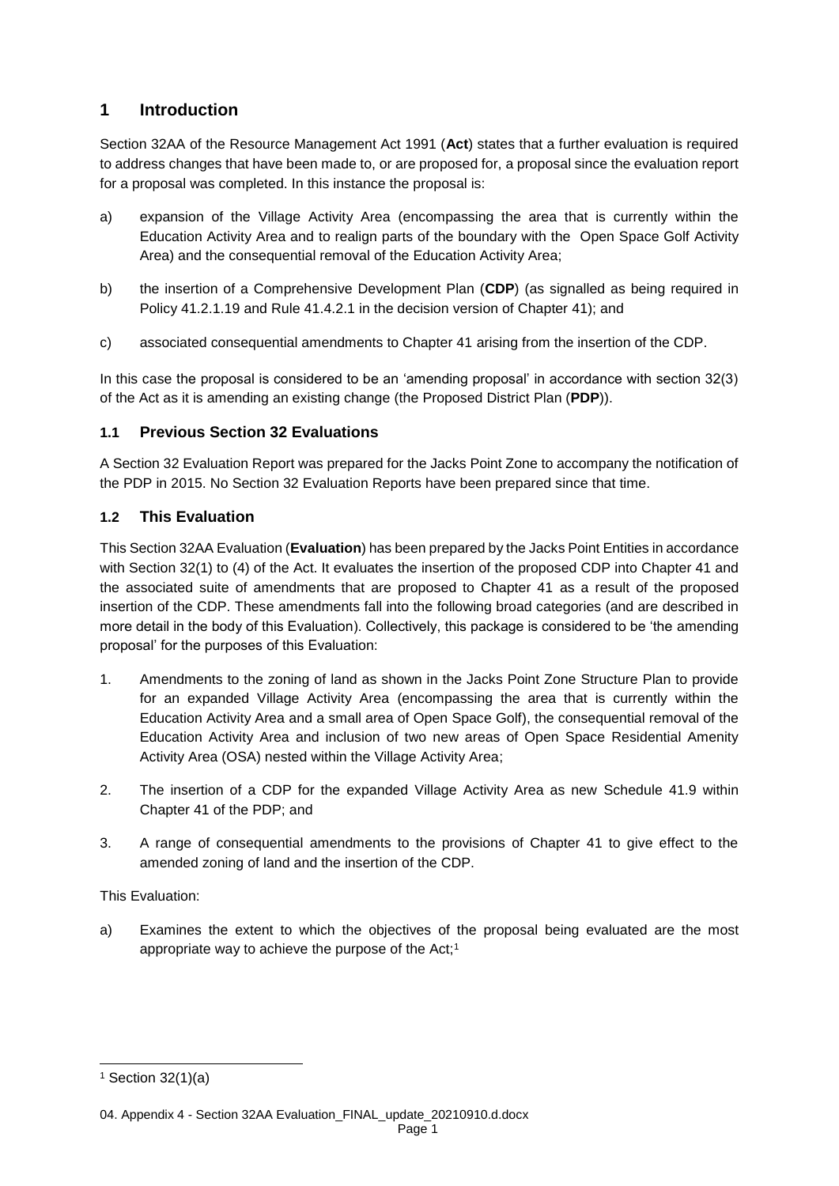# **1 Introduction**

Section 32AA of the Resource Management Act 1991 (**Act**) states that a further evaluation is required to address changes that have been made to, or are proposed for, a proposal since the evaluation report for a proposal was completed. In this instance the proposal is:

- a) expansion of the Village Activity Area (encompassing the area that is currently within the Education Activity Area and to realign parts of the boundary with the Open Space Golf Activity Area) and the consequential removal of the Education Activity Area;
- b) the insertion of a Comprehensive Development Plan (**CDP**) (as signalled as being required in Policy 41.2.1.19 and Rule 41.4.2.1 in the decision version of Chapter 41); and
- c) associated consequential amendments to Chapter 41 arising from the insertion of the CDP.

In this case the proposal is considered to be an 'amending proposal' in accordance with section 32(3) of the Act as it is amending an existing change (the Proposed District Plan (**PDP**)).

### **1.1 Previous Section 32 Evaluations**

A Section 32 Evaluation Report was prepared for the Jacks Point Zone to accompany the notification of the PDP in 2015. No Section 32 Evaluation Reports have been prepared since that time.

### **1.2 This Evaluation**

This Section 32AA Evaluation (**Evaluation**) has been prepared by the Jacks Point Entities in accordance with Section 32(1) to (4) of the Act. It evaluates the insertion of the proposed CDP into Chapter 41 and the associated suite of amendments that are proposed to Chapter 41 as a result of the proposed insertion of the CDP. These amendments fall into the following broad categories (and are described in more detail in the body of this Evaluation). Collectively, this package is considered to be 'the amending proposal' for the purposes of this Evaluation:

- 1. Amendments to the zoning of land as shown in the Jacks Point Zone Structure Plan to provide for an expanded Village Activity Area (encompassing the area that is currently within the Education Activity Area and a small area of Open Space Golf), the consequential removal of the Education Activity Area and inclusion of two new areas of Open Space Residential Amenity Activity Area (OSA) nested within the Village Activity Area;
- 2. The insertion of a CDP for the expanded Village Activity Area as new Schedule 41.9 within Chapter 41 of the PDP; and
- 3. A range of consequential amendments to the provisions of Chapter 41 to give effect to the amended zoning of land and the insertion of the CDP.

This Evaluation:

a) Examines the extent to which the objectives of the proposal being evaluated are the most appropriate way to achieve the purpose of the Act;<sup>1</sup>

l

 $1$  Section 32(1)(a)

<sup>04.</sup> Appendix 4 - Section 32AA Evaluation\_FINAL\_update\_20210910.d.docx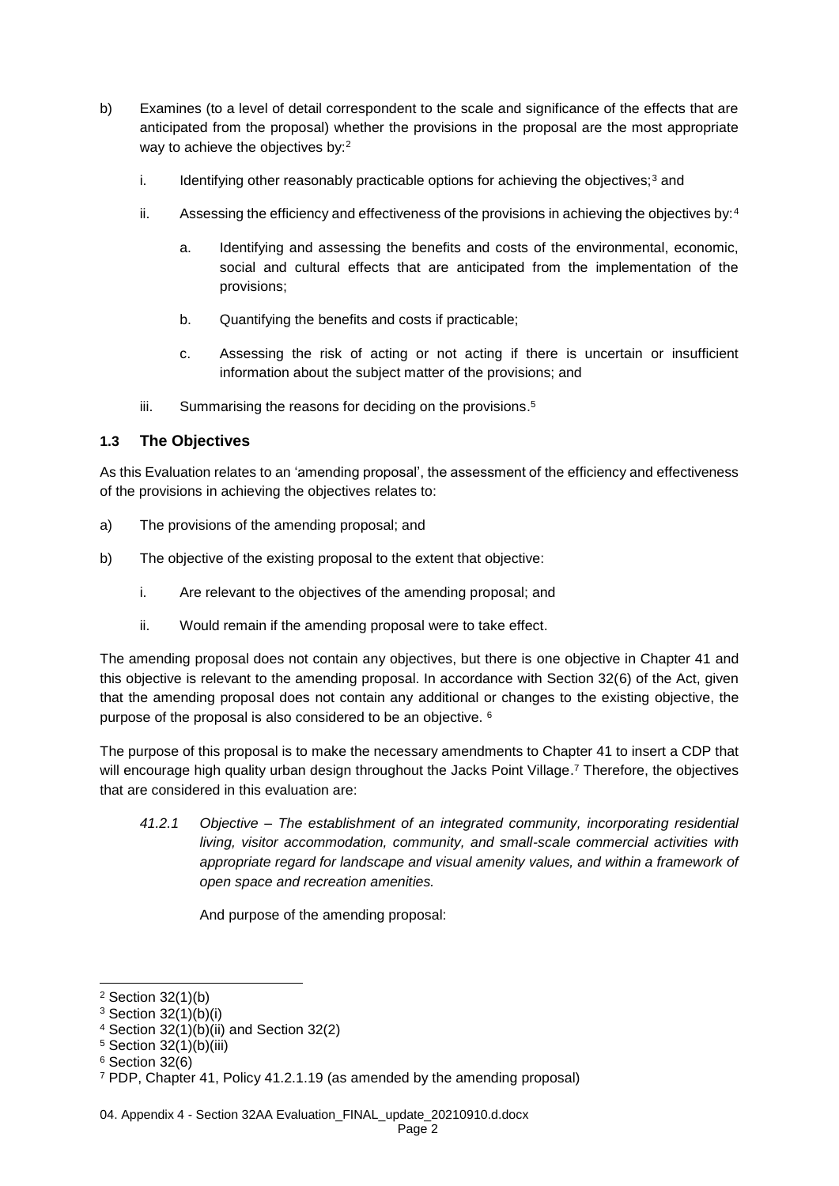- b) Examines (to a level of detail correspondent to the scale and significance of the effects that are anticipated from the proposal) whether the provisions in the proposal are the most appropriate way to achieve the objectives by:<sup>2</sup>
	- i. Identifying other reasonably practicable options for achieving the objectives; $3$  and
	- ii. Assessing the efficiency and effectiveness of the provisions in achieving the objectives by:  $4$ 
		- a. Identifying and assessing the benefits and costs of the environmental, economic, social and cultural effects that are anticipated from the implementation of the provisions;
		- b. Quantifying the benefits and costs if practicable;
		- c. Assessing the risk of acting or not acting if there is uncertain or insufficient information about the subject matter of the provisions; and
	- iii. Summarising the reasons for deciding on the provisions.<sup>5</sup>

#### **1.3 The Objectives**

As this Evaluation relates to an 'amending proposal', the assessment of the efficiency and effectiveness of the provisions in achieving the objectives relates to:

- a) The provisions of the amending proposal; and
- b) The objective of the existing proposal to the extent that objective:
	- i. Are relevant to the objectives of the amending proposal; and
	- ii. Would remain if the amending proposal were to take effect.

The amending proposal does not contain any objectives, but there is one objective in Chapter 41 and this objective is relevant to the amending proposal. In accordance with Section 32(6) of the Act, given that the amending proposal does not contain any additional or changes to the existing objective, the purpose of the proposal is also considered to be an objective. <sup>6</sup>

The purpose of this proposal is to make the necessary amendments to Chapter 41 to insert a CDP that will encourage high quality urban design throughout the Jacks Point Village.<sup>7</sup> Therefore, the objectives that are considered in this evaluation are:

*41.2.1 Objective – The establishment of an integrated community, incorporating residential living, visitor accommodation, community, and small-scale commercial activities with appropriate regard for landscape and visual amenity values, and within a framework of open space and recreation amenities.*

And purpose of the amending proposal:

l

<sup>2</sup> Section 32(1)(b)

 $3$  Section 32(1)(b)(i)

<sup>4</sup> Section 32(1)(b)(ii) and Section 32(2)

<sup>5</sup> Section 32(1)(b)(iii)

 $6$  Section 32(6)

<sup>7</sup> PDP, Chapter 41, Policy 41.2.1.19 (as amended by the amending proposal)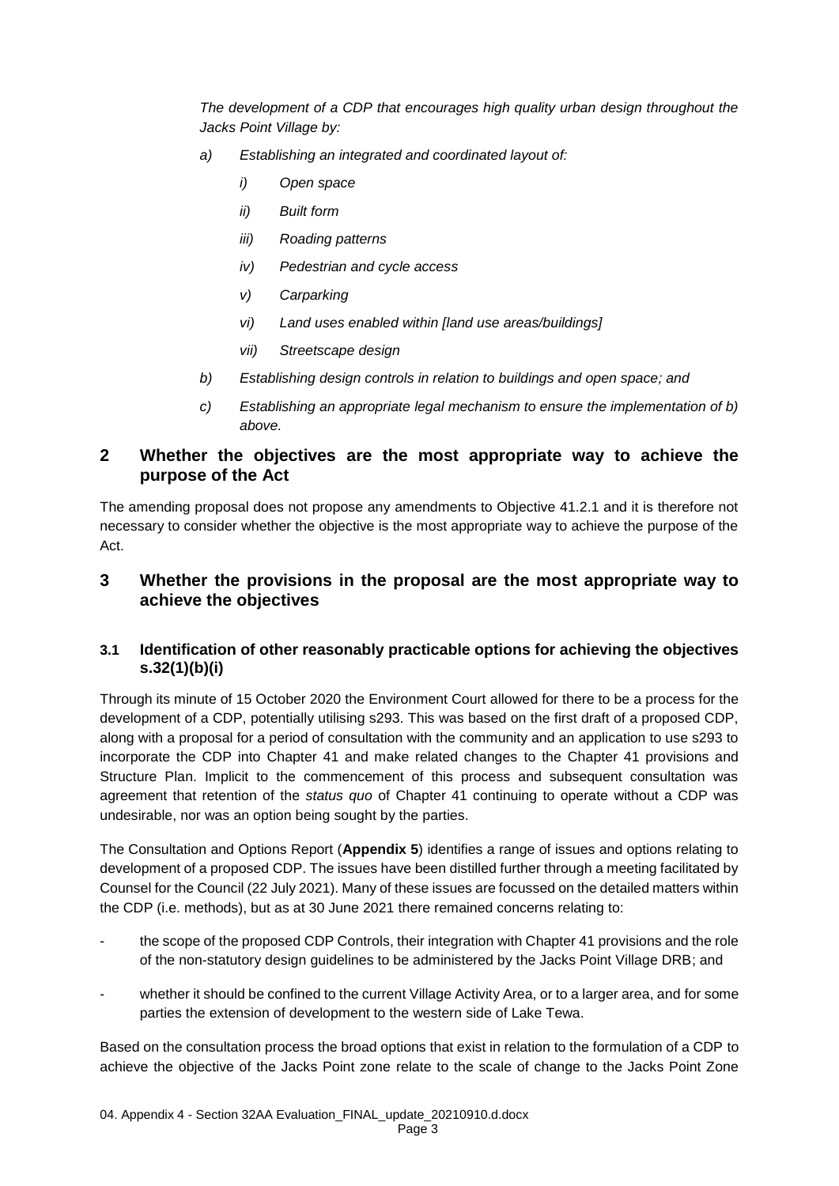*The development of a CDP that encourages high quality urban design throughout the Jacks Point Village by:* 

- *a) Establishing an integrated and coordinated layout of:* 
	- *i) Open space*
	- *ii) Built form*
	- *iii) Roading patterns*
	- *iv) Pedestrian and cycle access*
	- *v) Carparking*
	- *vi) Land uses enabled within [land use areas/buildings]*
	- *vii) Streetscape design*
- *b) Establishing design controls in relation to buildings and open space; and*
- *c) Establishing an appropriate legal mechanism to ensure the implementation of b) above.*

## **2 Whether the objectives are the most appropriate way to achieve the purpose of the Act**

The amending proposal does not propose any amendments to Objective 41.2.1 and it is therefore not necessary to consider whether the objective is the most appropriate way to achieve the purpose of the Act.

## **3 Whether the provisions in the proposal are the most appropriate way to achieve the objectives**

### **3.1 Identification of other reasonably practicable options for achieving the objectives s.32(1)(b)(i)**

Through its minute of 15 October 2020 the Environment Court allowed for there to be a process for the development of a CDP, potentially utilising s293. This was based on the first draft of a proposed CDP, along with a proposal for a period of consultation with the community and an application to use s293 to incorporate the CDP into Chapter 41 and make related changes to the Chapter 41 provisions and Structure Plan. Implicit to the commencement of this process and subsequent consultation was agreement that retention of the *status quo* of Chapter 41 continuing to operate without a CDP was undesirable, nor was an option being sought by the parties.

The Consultation and Options Report (**Appendix 5**) identifies a range of issues and options relating to development of a proposed CDP. The issues have been distilled further through a meeting facilitated by Counsel for the Council (22 July 2021). Many of these issues are focussed on the detailed matters within the CDP (i.e. methods), but as at 30 June 2021 there remained concerns relating to:

- the scope of the proposed CDP Controls, their integration with Chapter 41 provisions and the role of the non-statutory design guidelines to be administered by the Jacks Point Village DRB; and
- whether it should be confined to the current Village Activity Area, or to a larger area, and for some parties the extension of development to the western side of Lake Tewa.

Based on the consultation process the broad options that exist in relation to the formulation of a CDP to achieve the objective of the Jacks Point zone relate to the scale of change to the Jacks Point Zone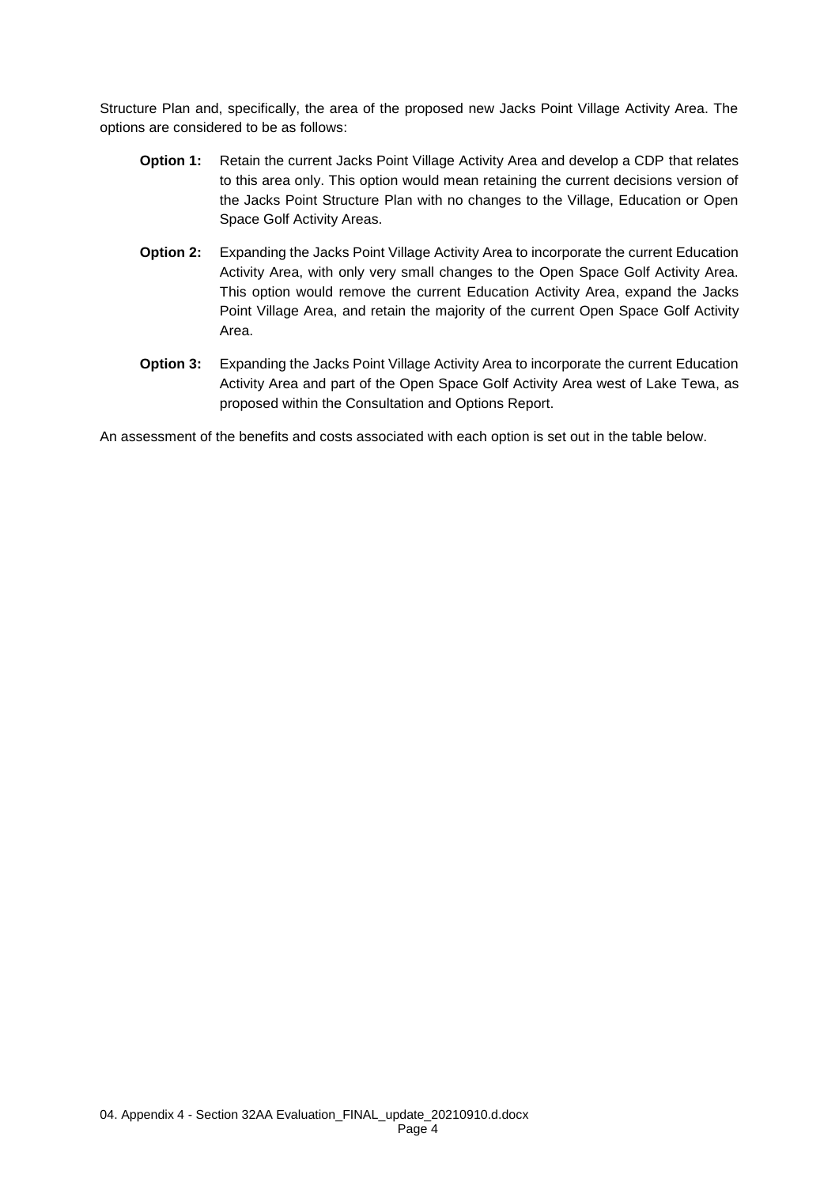Structure Plan and, specifically, the area of the proposed new Jacks Point Village Activity Area. The options are considered to be as follows:

- **Option 1:** Retain the current Jacks Point Village Activity Area and develop a CDP that relates to this area only. This option would mean retaining the current decisions version of the Jacks Point Structure Plan with no changes to the Village, Education or Open Space Golf Activity Areas.
- **Option 2:** Expanding the Jacks Point Village Activity Area to incorporate the current Education Activity Area, with only very small changes to the Open Space Golf Activity Area. This option would remove the current Education Activity Area, expand the Jacks Point Village Area, and retain the majority of the current Open Space Golf Activity Area.
- **Option 3:** Expanding the Jacks Point Village Activity Area to incorporate the current Education Activity Area and part of the Open Space Golf Activity Area west of Lake Tewa, as proposed within the Consultation and Options Report.

An assessment of the benefits and costs associated with each option is set out in the table below.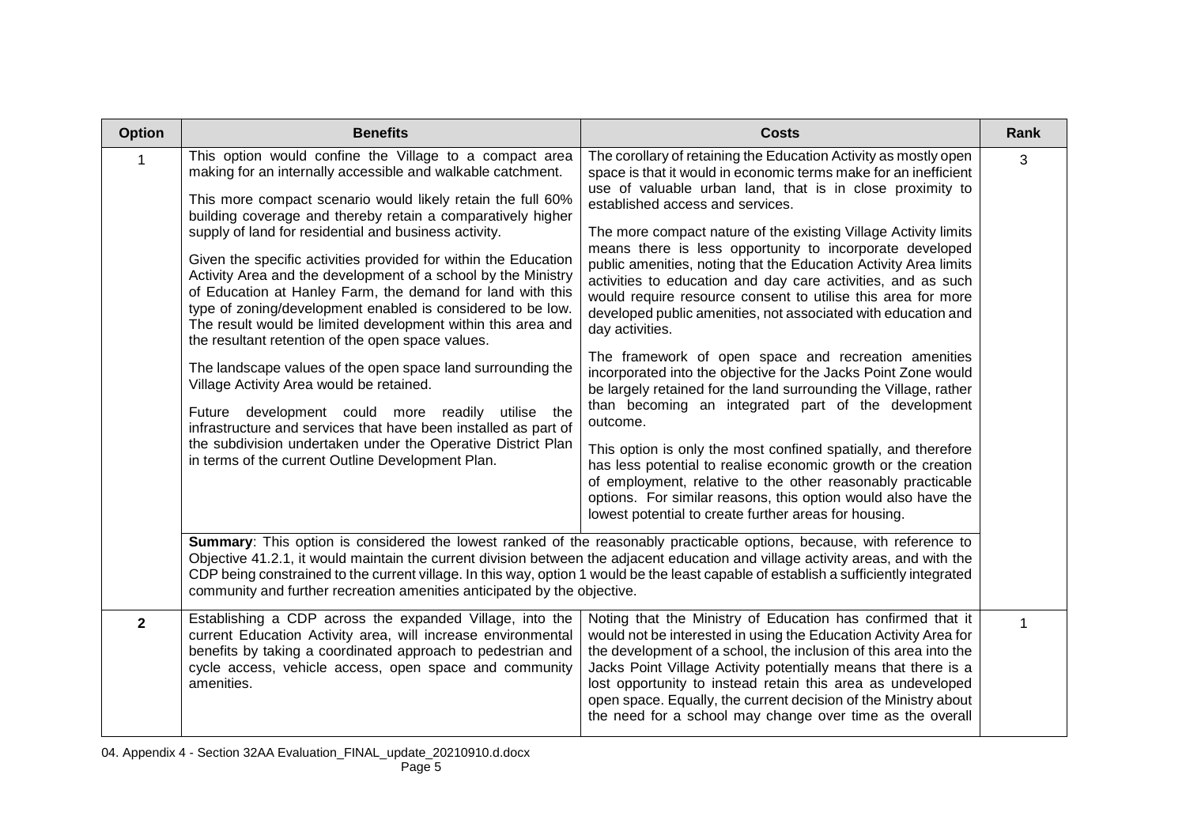| <b>Option</b>  | <b>Benefits</b>                                                                                                                                                                                                                                                                                                                                                                                                                                                                                                                                                                                                                                                                                                                                                                                                                                                                                                                                                                                                                                             | <b>Costs</b>                                                                                                                                                                                                                                                                                                                                                                                                                                                                                                                                                                                                                                                                                                                                                                                                                                                                                                                                                                                                                                                                                                                                                                                                                                              | Rank |
|----------------|-------------------------------------------------------------------------------------------------------------------------------------------------------------------------------------------------------------------------------------------------------------------------------------------------------------------------------------------------------------------------------------------------------------------------------------------------------------------------------------------------------------------------------------------------------------------------------------------------------------------------------------------------------------------------------------------------------------------------------------------------------------------------------------------------------------------------------------------------------------------------------------------------------------------------------------------------------------------------------------------------------------------------------------------------------------|-----------------------------------------------------------------------------------------------------------------------------------------------------------------------------------------------------------------------------------------------------------------------------------------------------------------------------------------------------------------------------------------------------------------------------------------------------------------------------------------------------------------------------------------------------------------------------------------------------------------------------------------------------------------------------------------------------------------------------------------------------------------------------------------------------------------------------------------------------------------------------------------------------------------------------------------------------------------------------------------------------------------------------------------------------------------------------------------------------------------------------------------------------------------------------------------------------------------------------------------------------------|------|
|                | This option would confine the Village to a compact area<br>making for an internally accessible and walkable catchment.<br>This more compact scenario would likely retain the full 60%<br>building coverage and thereby retain a comparatively higher<br>supply of land for residential and business activity.<br>Given the specific activities provided for within the Education<br>Activity Area and the development of a school by the Ministry<br>of Education at Hanley Farm, the demand for land with this<br>type of zoning/development enabled is considered to be low.<br>The result would be limited development within this area and<br>the resultant retention of the open space values.<br>The landscape values of the open space land surrounding the<br>Village Activity Area would be retained.<br>Future development could more readily utilise the<br>infrastructure and services that have been installed as part of<br>the subdivision undertaken under the Operative District Plan<br>in terms of the current Outline Development Plan. | The corollary of retaining the Education Activity as mostly open<br>space is that it would in economic terms make for an inefficient<br>use of valuable urban land, that is in close proximity to<br>established access and services.<br>The more compact nature of the existing Village Activity limits<br>means there is less opportunity to incorporate developed<br>public amenities, noting that the Education Activity Area limits<br>activities to education and day care activities, and as such<br>would require resource consent to utilise this area for more<br>developed public amenities, not associated with education and<br>day activities.<br>The framework of open space and recreation amenities<br>incorporated into the objective for the Jacks Point Zone would<br>be largely retained for the land surrounding the Village, rather<br>than becoming an integrated part of the development<br>outcome.<br>This option is only the most confined spatially, and therefore<br>has less potential to realise economic growth or the creation<br>of employment, relative to the other reasonably practicable<br>options. For similar reasons, this option would also have the<br>lowest potential to create further areas for housing. | 3    |
|                | Summary: This option is considered the lowest ranked of the reasonably practicable options, because, with reference to<br>CDP being constrained to the current village. In this way, option 1 would be the least capable of establish a sufficiently integrated<br>community and further recreation amenities anticipated by the objective.                                                                                                                                                                                                                                                                                                                                                                                                                                                                                                                                                                                                                                                                                                                 | Objective 41.2.1, it would maintain the current division between the adjacent education and village activity areas, and with the                                                                                                                                                                                                                                                                                                                                                                                                                                                                                                                                                                                                                                                                                                                                                                                                                                                                                                                                                                                                                                                                                                                          |      |
| $\overline{2}$ | Establishing a CDP across the expanded Village, into the<br>current Education Activity area, will increase environmental<br>benefits by taking a coordinated approach to pedestrian and<br>cycle access, vehicle access, open space and community<br>amenities.                                                                                                                                                                                                                                                                                                                                                                                                                                                                                                                                                                                                                                                                                                                                                                                             | Noting that the Ministry of Education has confirmed that it<br>would not be interested in using the Education Activity Area for<br>the development of a school, the inclusion of this area into the<br>Jacks Point Village Activity potentially means that there is a<br>lost opportunity to instead retain this area as undeveloped<br>open space. Equally, the current decision of the Ministry about<br>the need for a school may change over time as the overall                                                                                                                                                                                                                                                                                                                                                                                                                                                                                                                                                                                                                                                                                                                                                                                      |      |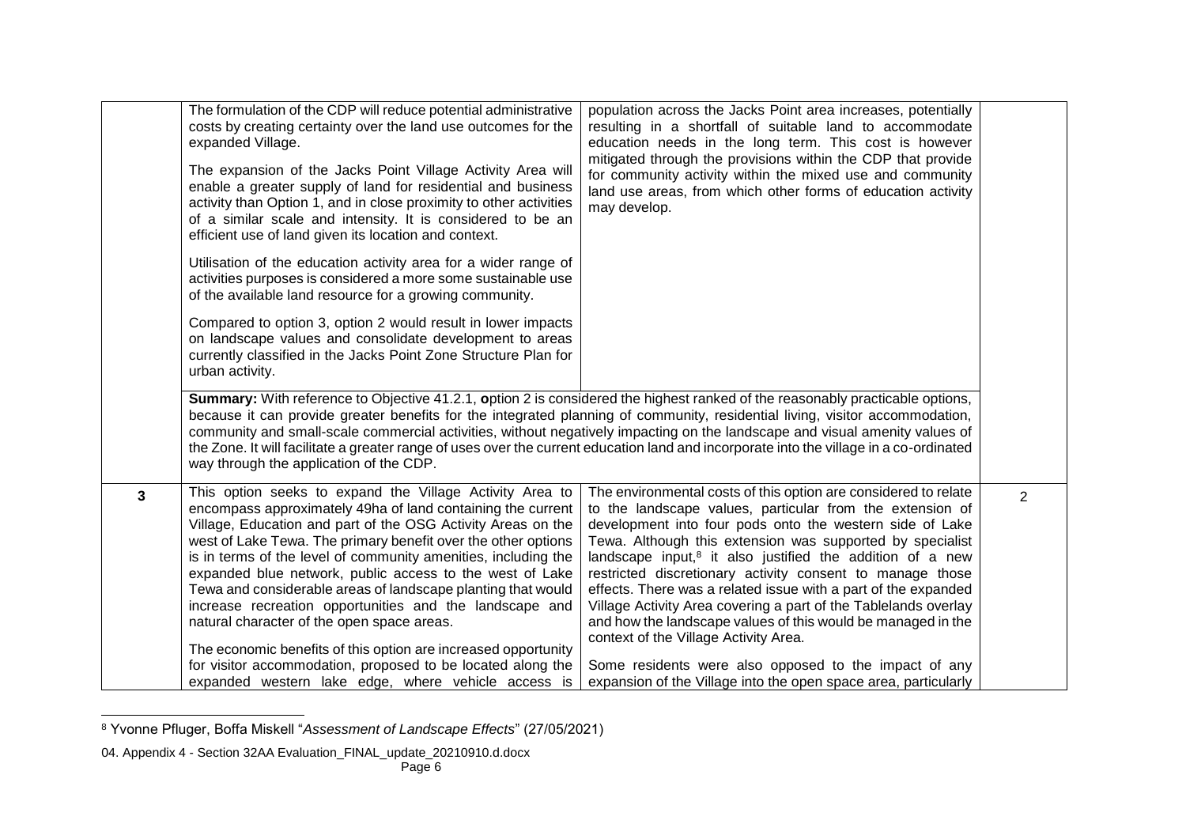|   | The formulation of the CDP will reduce potential administrative<br>population across the Jacks Point area increases, potentially<br>costs by creating certainty over the land use outcomes for the<br>resulting in a shortfall of suitable land to accommodate<br>education needs in the long term. This cost is however<br>expanded Village.<br>mitigated through the provisions within the CDP that provide<br>The expansion of the Jacks Point Village Activity Area will<br>for community activity within the mixed use and community<br>enable a greater supply of land for residential and business<br>land use areas, from which other forms of education activity<br>activity than Option 1, and in close proximity to other activities<br>may develop.<br>of a similar scale and intensity. It is considered to be an<br>efficient use of land given its location and context.<br>Utilisation of the education activity area for a wider range of<br>activities purposes is considered a more some sustainable use<br>of the available land resource for a growing community.<br>Compared to option 3, option 2 would result in lower impacts<br>on landscape values and consolidate development to areas<br>currently classified in the Jacks Point Zone Structure Plan for<br>urban activity.<br>Summary: With reference to Objective 41.2.1, option 2 is considered the highest ranked of the reasonably practicable options,<br>because it can provide greater benefits for the integrated planning of community, residential living, visitor accommodation,<br>community and small-scale commercial activities, without negatively impacting on the landscape and visual amenity values of |                                                                                                                                                                                                                                                                                                                                                                                                                                                                                                                                                                                                                                                                                           |                |
|---|----------------------------------------------------------------------------------------------------------------------------------------------------------------------------------------------------------------------------------------------------------------------------------------------------------------------------------------------------------------------------------------------------------------------------------------------------------------------------------------------------------------------------------------------------------------------------------------------------------------------------------------------------------------------------------------------------------------------------------------------------------------------------------------------------------------------------------------------------------------------------------------------------------------------------------------------------------------------------------------------------------------------------------------------------------------------------------------------------------------------------------------------------------------------------------------------------------------------------------------------------------------------------------------------------------------------------------------------------------------------------------------------------------------------------------------------------------------------------------------------------------------------------------------------------------------------------------------------------------------------------------------------------------------------------------------------------------|-------------------------------------------------------------------------------------------------------------------------------------------------------------------------------------------------------------------------------------------------------------------------------------------------------------------------------------------------------------------------------------------------------------------------------------------------------------------------------------------------------------------------------------------------------------------------------------------------------------------------------------------------------------------------------------------|----------------|
|   | way through the application of the CDP.                                                                                                                                                                                                                                                                                                                                                                                                                                                                                                                                                                                                                                                                                                                                                                                                                                                                                                                                                                                                                                                                                                                                                                                                                                                                                                                                                                                                                                                                                                                                                                                                                                                                  | the Zone. It will facilitate a greater range of uses over the current education land and incorporate into the village in a co-ordinated                                                                                                                                                                                                                                                                                                                                                                                                                                                                                                                                                   |                |
| 3 | This option seeks to expand the Village Activity Area to<br>encompass approximately 49ha of land containing the current<br>Village, Education and part of the OSG Activity Areas on the<br>west of Lake Tewa. The primary benefit over the other options<br>is in terms of the level of community amenities, including the<br>expanded blue network, public access to the west of Lake<br>Tewa and considerable areas of landscape planting that would<br>increase recreation opportunities and the landscape and<br>natural character of the open space areas.<br>The economic benefits of this option are increased opportunity<br>for visitor accommodation, proposed to be located along the                                                                                                                                                                                                                                                                                                                                                                                                                                                                                                                                                                                                                                                                                                                                                                                                                                                                                                                                                                                                         | The environmental costs of this option are considered to relate<br>to the landscape values, particular from the extension of<br>development into four pods onto the western side of Lake<br>Tewa. Although this extension was supported by specialist<br>landscape input, $8$ it also justified the addition of a new<br>restricted discretionary activity consent to manage those<br>effects. There was a related issue with a part of the expanded<br>Village Activity Area covering a part of the Tablelands overlay<br>and how the landscape values of this would be managed in the<br>context of the Village Activity Area.<br>Some residents were also opposed to the impact of any | $\overline{2}$ |
|   | expanded western lake edge, where vehicle access is                                                                                                                                                                                                                                                                                                                                                                                                                                                                                                                                                                                                                                                                                                                                                                                                                                                                                                                                                                                                                                                                                                                                                                                                                                                                                                                                                                                                                                                                                                                                                                                                                                                      | expansion of the Village into the open space area, particularly                                                                                                                                                                                                                                                                                                                                                                                                                                                                                                                                                                                                                           |                |

l <sup>8</sup> Yvonne Pfluger, Boffa Miskell "*Assessment of Landscape Effects*" (27/05/2021)

<sup>04.</sup> Appendix 4 - Section 32AA Evaluation\_FINAL\_update\_20210910.d.docx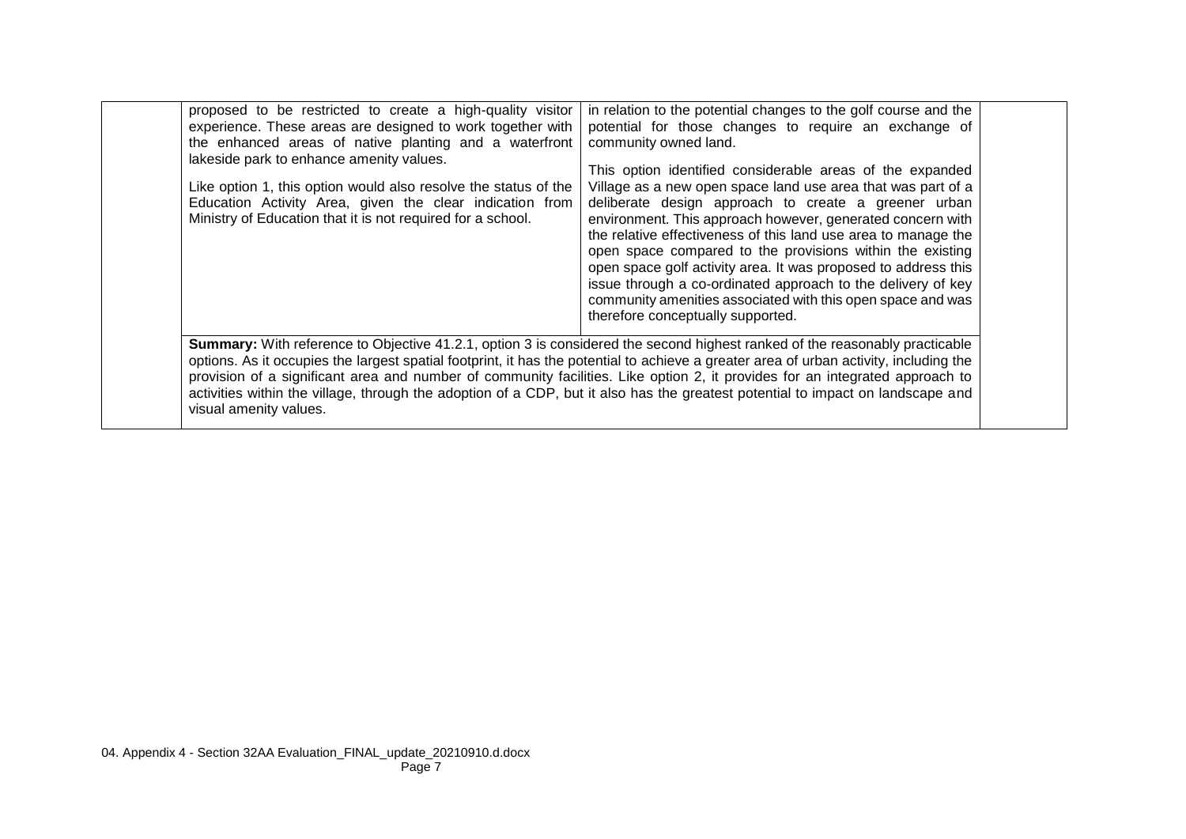| proposed to be restricted to create a high-quality visitor<br>experience. These areas are designed to work together with<br>the enhanced areas of native planting and a waterfront<br>lakeside park to enhance amenity values.<br>Like option 1, this option would also resolve the status of the<br>Education Activity Area, given the clear indication from<br>Ministry of Education that it is not required for a school. | in relation to the potential changes to the golf course and the<br>potential for those changes to require an exchange of<br>community owned land.<br>This option identified considerable areas of the expanded<br>Village as a new open space land use area that was part of a<br>deliberate design approach to create a greener urban<br>environment. This approach however, generated concern with<br>the relative effectiveness of this land use area to manage the<br>open space compared to the provisions within the existing<br>open space golf activity area. It was proposed to address this<br>issue through a co-ordinated approach to the delivery of key<br>community amenities associated with this open space and was<br>therefore conceptually supported. |  |
|------------------------------------------------------------------------------------------------------------------------------------------------------------------------------------------------------------------------------------------------------------------------------------------------------------------------------------------------------------------------------------------------------------------------------|---------------------------------------------------------------------------------------------------------------------------------------------------------------------------------------------------------------------------------------------------------------------------------------------------------------------------------------------------------------------------------------------------------------------------------------------------------------------------------------------------------------------------------------------------------------------------------------------------------------------------------------------------------------------------------------------------------------------------------------------------------------------------|--|
| visual amenity values.                                                                                                                                                                                                                                                                                                                                                                                                       | <b>Summary:</b> With reference to Objective 41.2.1, option 3 is considered the second highest ranked of the reasonably practicable<br>options. As it occupies the largest spatial footprint, it has the potential to achieve a greater area of urban activity, including the<br>provision of a significant area and number of community facilities. Like option 2, it provides for an integrated approach to<br>activities within the village, through the adoption of a CDP, but it also has the greatest potential to impact on landscape and                                                                                                                                                                                                                           |  |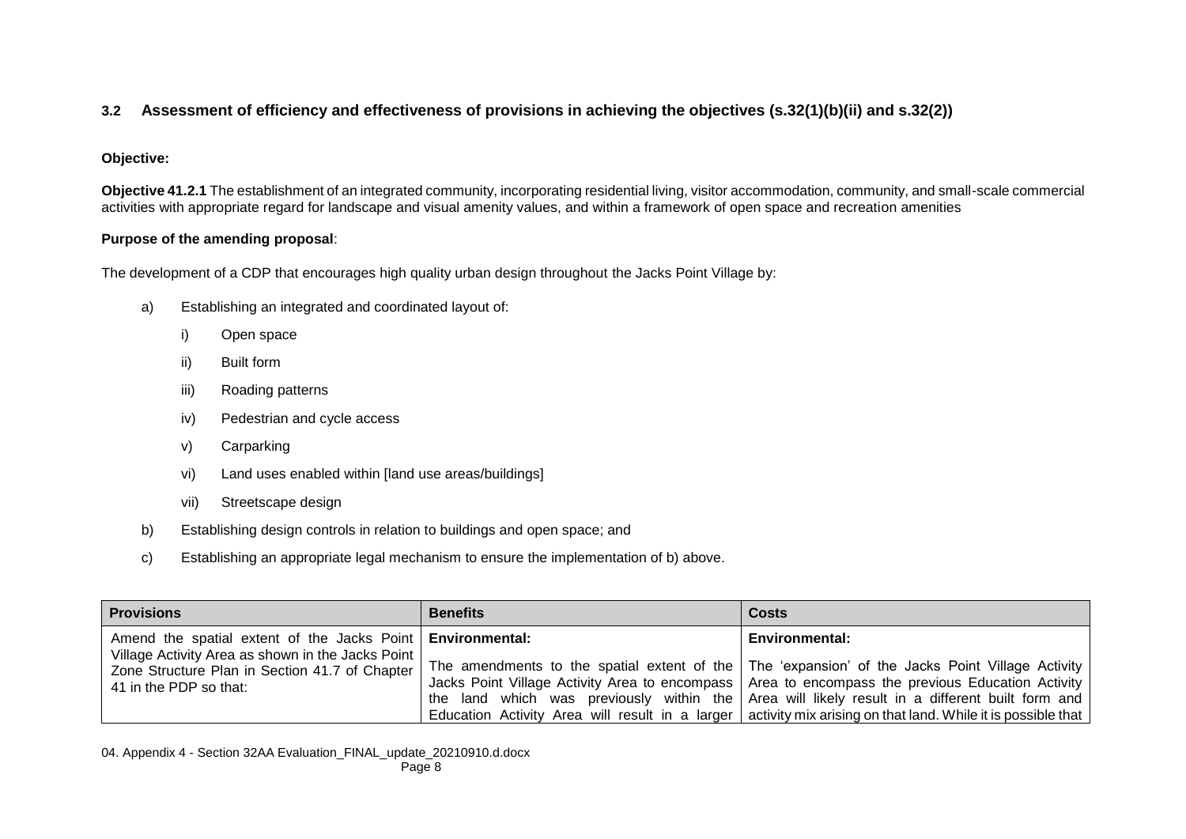## **3.2 Assessment of efficiency and effectiveness of provisions in achieving the objectives (s.32(1)(b)(ii) and s.32(2))**

#### **Objective:**

**Objective 41.2.1** The establishment of an integrated community, incorporating residential living, visitor accommodation, community, and small-scale commercial activities with appropriate regard for landscape and visual amenity values, and within a framework of open space and recreation amenities

#### **Purpose of the amending proposal**:

The development of a CDP that encourages high quality urban design throughout the Jacks Point Village by:

- a) Establishing an integrated and coordinated layout of:
	- i) Open space
	- ii) Built form
	- iii) Roading patterns
	- iv) Pedestrian and cycle access
	- v) Carparking
	- vi) Land uses enabled within [land use areas/buildings]
	- vii) Streetscape design
- b) Establishing design controls in relation to buildings and open space; and
- c) Establishing an appropriate legal mechanism to ensure the implementation of b) above.

| <b>Provisions</b>                                                                                                                                                                               | <b>Benefits</b> | <b>Costs</b>                                                                                                                                                                                                                                                                                                                                                                                                                                             |  |
|-------------------------------------------------------------------------------------------------------------------------------------------------------------------------------------------------|-----------------|----------------------------------------------------------------------------------------------------------------------------------------------------------------------------------------------------------------------------------------------------------------------------------------------------------------------------------------------------------------------------------------------------------------------------------------------------------|--|
| Amend the spatial extent of the Jacks Point   Environmental:<br>Village Activity Area as shown in the Jacks Point  <br>Zone Structure Plan in Section 41.7 of Chapter<br>41 in the PDP so that: |                 | <b>Environmental:</b><br>The amendments to the spatial extent of the   The 'expansion' of the Jacks Point Village Activity  <br>Jacks Point Village Activity Area to encompass   Area to encompass the previous Education Activity  <br>the land which was previously within the Area will likely result in a different built form and<br>Education Activity Area will result in a larger   activity mix arising on that land. While it is possible that |  |

04. Appendix 4 - Section 32AA Evaluation\_FINAL\_update\_20210910.d.docx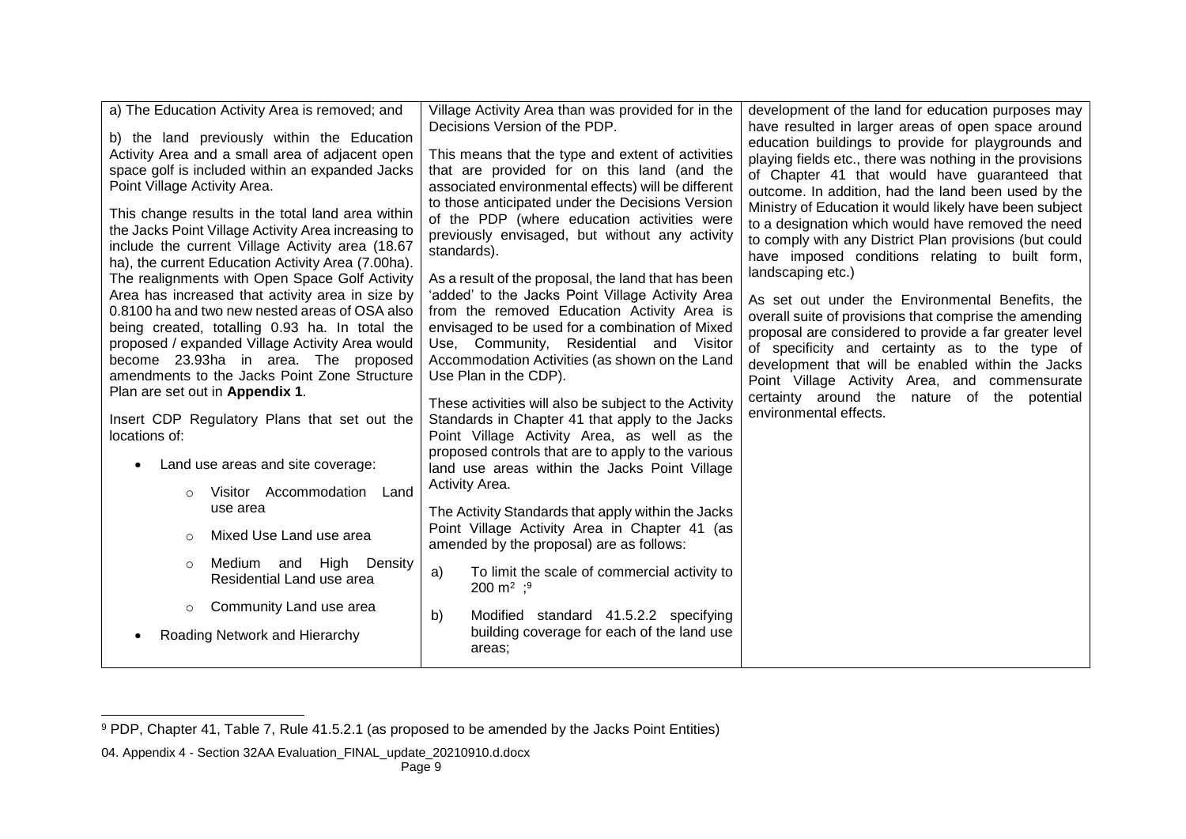| a) The Education Activity Area is removed; and                                                                                                                                                                                                                                                                                                                                                                                                                                                                | Village Activity Area than was provided for in the<br>Decisions Version of the PDP.                                                                                                                                                                                                                                                                                                                                                                                                                      | development of the land for education purposes may<br>have resulted in larger areas of open space around                                                                                                                                                                                                                                                                                                                                                                                                                      |
|---------------------------------------------------------------------------------------------------------------------------------------------------------------------------------------------------------------------------------------------------------------------------------------------------------------------------------------------------------------------------------------------------------------------------------------------------------------------------------------------------------------|----------------------------------------------------------------------------------------------------------------------------------------------------------------------------------------------------------------------------------------------------------------------------------------------------------------------------------------------------------------------------------------------------------------------------------------------------------------------------------------------------------|-------------------------------------------------------------------------------------------------------------------------------------------------------------------------------------------------------------------------------------------------------------------------------------------------------------------------------------------------------------------------------------------------------------------------------------------------------------------------------------------------------------------------------|
| b) the land previously within the Education<br>Activity Area and a small area of adjacent open<br>space golf is included within an expanded Jacks<br>Point Village Activity Area.<br>This change results in the total land area within<br>the Jacks Point Village Activity Area increasing to<br>include the current Village Activity area (18.67<br>ha), the current Education Activity Area (7.00ha).<br>The realignments with Open Space Golf Activity<br>Area has increased that activity area in size by | This means that the type and extent of activities<br>that are provided for on this land (and the<br>associated environmental effects) will be different<br>to those anticipated under the Decisions Version<br>of the PDP (where education activities were<br>previously envisaged, but without any activity<br>standards).<br>As a result of the proposal, the land that has been<br>'added' to the Jacks Point Village Activity Area                                                                   | education buildings to provide for playgrounds and<br>playing fields etc., there was nothing in the provisions<br>of Chapter 41 that would have guaranteed that<br>outcome. In addition, had the land been used by the<br>Ministry of Education it would likely have been subject<br>to a designation which would have removed the need<br>to comply with any District Plan provisions (but could<br>have imposed conditions relating to built form,<br>landscaping etc.)<br>As set out under the Environmental Benefits, the |
| 0.8100 ha and two new nested areas of OSA also<br>being created, totalling 0.93 ha. In total the<br>proposed / expanded Village Activity Area would<br>become 23.93ha in area. The proposed<br>amendments to the Jacks Point Zone Structure<br>Plan are set out in Appendix 1.<br>Insert CDP Regulatory Plans that set out the<br>locations of:<br>Land use areas and site coverage:<br>$\bullet$<br>Visitor Accommodation Land<br>$\Omega$                                                                   | from the removed Education Activity Area is<br>envisaged to be used for a combination of Mixed<br>Use, Community, Residential and Visitor<br>Accommodation Activities (as shown on the Land<br>Use Plan in the CDP).<br>These activities will also be subject to the Activity<br>Standards in Chapter 41 that apply to the Jacks<br>Point Village Activity Area, as well as the<br>proposed controls that are to apply to the various<br>land use areas within the Jacks Point Village<br>Activity Area. | overall suite of provisions that comprise the amending<br>proposal are considered to provide a far greater level<br>of specificity and certainty as to the type of<br>development that will be enabled within the Jacks<br>Point Village Activity Area, and commensurate<br>certainty around the nature of the potential<br>environmental effects.                                                                                                                                                                            |
| use area<br>Mixed Use Land use area<br>$\circ$                                                                                                                                                                                                                                                                                                                                                                                                                                                                | The Activity Standards that apply within the Jacks<br>Point Village Activity Area in Chapter 41 (as<br>amended by the proposal) are as follows:                                                                                                                                                                                                                                                                                                                                                          |                                                                                                                                                                                                                                                                                                                                                                                                                                                                                                                               |
| Medium and High Density<br>$\circ$<br>Residential Land use area                                                                                                                                                                                                                                                                                                                                                                                                                                               | To limit the scale of commercial activity to<br>a)<br>200 m <sup>2</sup> ; <sup>9</sup>                                                                                                                                                                                                                                                                                                                                                                                                                  |                                                                                                                                                                                                                                                                                                                                                                                                                                                                                                                               |
| Community Land use area<br>$\circ$<br>Roading Network and Hierarchy                                                                                                                                                                                                                                                                                                                                                                                                                                           | Modified standard 41.5.2.2 specifying<br>b)<br>building coverage for each of the land use<br>areas:                                                                                                                                                                                                                                                                                                                                                                                                      |                                                                                                                                                                                                                                                                                                                                                                                                                                                                                                                               |

l

<sup>&</sup>lt;sup>9</sup> PDP, Chapter 41, Table 7, Rule 41.5.2.1 (as proposed to be amended by the Jacks Point Entities)

<sup>04.</sup> Appendix 4 - Section 32AA Evaluation\_FINAL\_update\_20210910.d.docx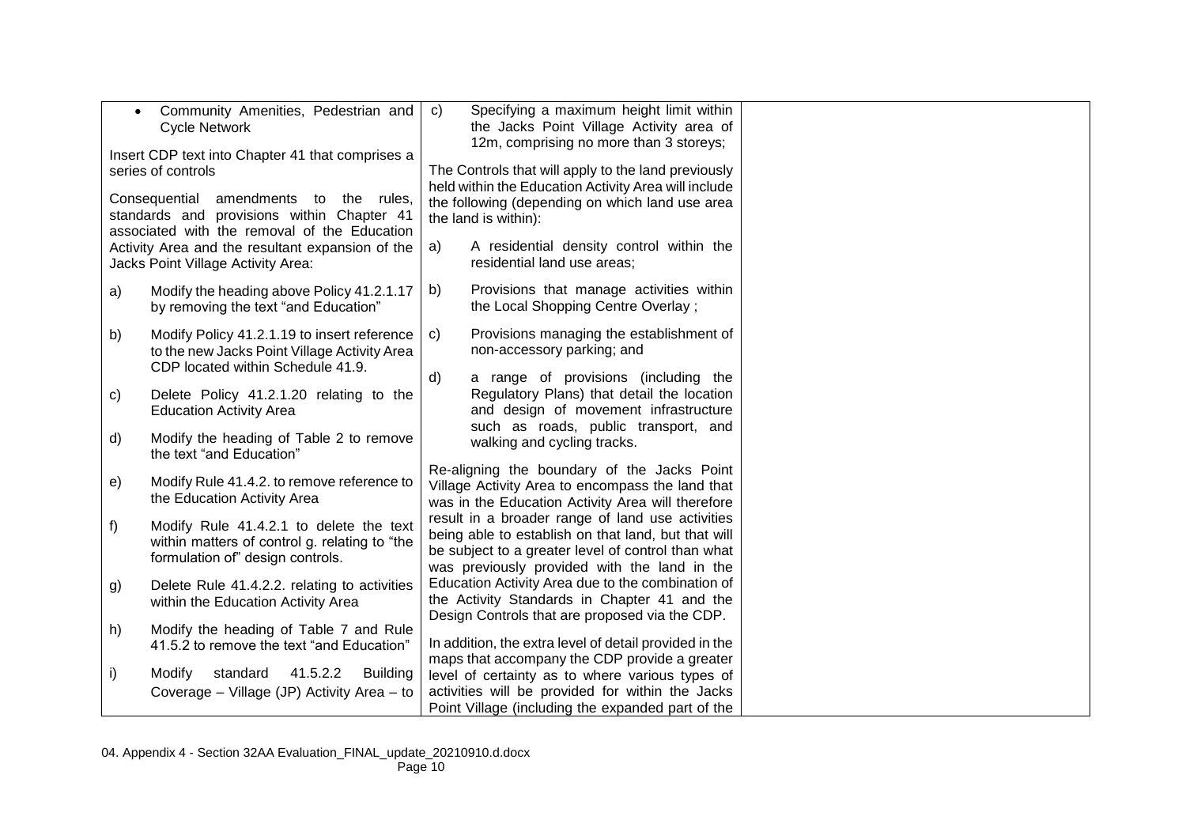| $\bullet$                                        | Community Amenities, Pedestrian and                                                 | Specifying a maximum height limit within<br>$\mathsf{C}$                                                |
|--------------------------------------------------|-------------------------------------------------------------------------------------|---------------------------------------------------------------------------------------------------------|
|                                                  | <b>Cycle Network</b>                                                                | the Jacks Point Village Activity area of                                                                |
| Insert CDP text into Chapter 41 that comprises a |                                                                                     | 12m, comprising no more than 3 storeys;                                                                 |
|                                                  | series of controls                                                                  | The Controls that will apply to the land previously                                                     |
|                                                  |                                                                                     | held within the Education Activity Area will include                                                    |
|                                                  | Consequential amendments to the rules,                                              | the following (depending on which land use area                                                         |
|                                                  | standards and provisions within Chapter 41                                          | the land is within):                                                                                    |
|                                                  | associated with the removal of the Education                                        |                                                                                                         |
|                                                  | Activity Area and the resultant expansion of the                                    | A residential density control within the<br>a)<br>residential land use areas;                           |
|                                                  | Jacks Point Village Activity Area:                                                  |                                                                                                         |
| a)                                               | Modify the heading above Policy 41.2.1.17                                           | Provisions that manage activities within<br>b)                                                          |
|                                                  | by removing the text "and Education"                                                | the Local Shopping Centre Overlay;                                                                      |
| b)                                               | Modify Policy 41.2.1.19 to insert reference                                         | Provisions managing the establishment of<br>$\mathsf{c}$                                                |
|                                                  | to the new Jacks Point Village Activity Area                                        | non-accessory parking; and                                                                              |
|                                                  | CDP located within Schedule 41.9.                                                   |                                                                                                         |
|                                                  |                                                                                     | $\mathsf{d}$<br>a range of provisions (including the                                                    |
| c)                                               | Delete Policy 41.2.1.20 relating to the                                             | Regulatory Plans) that detail the location<br>and design of movement infrastructure                     |
|                                                  | <b>Education Activity Area</b>                                                      | such as roads, public transport, and                                                                    |
| d)                                               | Modify the heading of Table 2 to remove                                             | walking and cycling tracks.                                                                             |
|                                                  | the text "and Education"                                                            |                                                                                                         |
|                                                  |                                                                                     | Re-aligning the boundary of the Jacks Point                                                             |
| e)                                               | Modify Rule 41.4.2. to remove reference to<br>the Education Activity Area           | Village Activity Area to encompass the land that                                                        |
|                                                  |                                                                                     | was in the Education Activity Area will therefore                                                       |
| f)                                               | Modify Rule 41.4.2.1 to delete the text                                             | result in a broader range of land use activities<br>being able to establish on that land, but that will |
|                                                  | within matters of control g. relating to "the                                       | be subject to a greater level of control than what                                                      |
|                                                  | formulation of" design controls.                                                    | was previously provided with the land in the                                                            |
| g)                                               | Delete Rule 41.4.2.2. relating to activities                                        | Education Activity Area due to the combination of                                                       |
|                                                  | within the Education Activity Area                                                  | the Activity Standards in Chapter 41 and the                                                            |
|                                                  |                                                                                     | Design Controls that are proposed via the CDP.                                                          |
| h)                                               | Modify the heading of Table 7 and Rule<br>41.5.2 to remove the text "and Education" | In addition, the extra level of detail provided in the                                                  |
|                                                  |                                                                                     | maps that accompany the CDP provide a greater                                                           |
| i)                                               | 41.5.2.2<br>Modify<br>standard<br><b>Building</b>                                   | level of certainty as to where various types of                                                         |
|                                                  | Coverage - Village (JP) Activity Area - to                                          | activities will be provided for within the Jacks                                                        |
|                                                  |                                                                                     | Point Village (including the expanded part of the                                                       |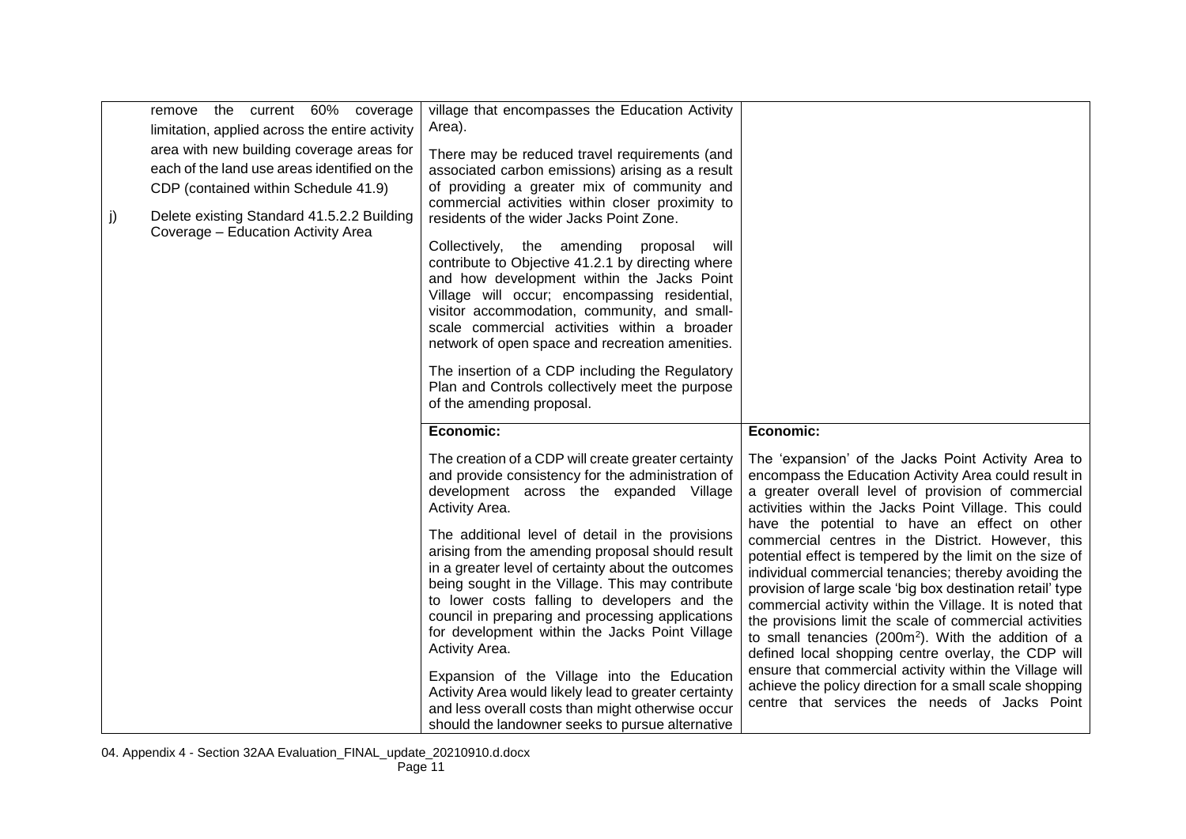|    | remove the current 60% coverage<br>limitation, applied across the entire activity<br>area with new building coverage areas for<br>each of the land use areas identified on the<br>CDP (contained within Schedule 41.9) | village that encompasses the Education Activity<br>Area).<br>There may be reduced travel requirements (and<br>associated carbon emissions) arising as a result<br>of providing a greater mix of community and<br>commercial activities within closer proximity to                                                                                                                           |                                                                                                                                                                                                                                                                                                                                                                                                                                                                                       |
|----|------------------------------------------------------------------------------------------------------------------------------------------------------------------------------------------------------------------------|---------------------------------------------------------------------------------------------------------------------------------------------------------------------------------------------------------------------------------------------------------------------------------------------------------------------------------------------------------------------------------------------|---------------------------------------------------------------------------------------------------------------------------------------------------------------------------------------------------------------------------------------------------------------------------------------------------------------------------------------------------------------------------------------------------------------------------------------------------------------------------------------|
| j) | Delete existing Standard 41.5.2.2 Building<br>Coverage - Education Activity Area                                                                                                                                       | residents of the wider Jacks Point Zone.<br>Collectively, the amending proposal will<br>contribute to Objective 41.2.1 by directing where<br>and how development within the Jacks Point<br>Village will occur; encompassing residential,<br>visitor accommodation, community, and small-<br>scale commercial activities within a broader<br>network of open space and recreation amenities. |                                                                                                                                                                                                                                                                                                                                                                                                                                                                                       |
|    |                                                                                                                                                                                                                        | The insertion of a CDP including the Regulatory<br>Plan and Controls collectively meet the purpose<br>of the amending proposal.                                                                                                                                                                                                                                                             |                                                                                                                                                                                                                                                                                                                                                                                                                                                                                       |
|    |                                                                                                                                                                                                                        | Economic:                                                                                                                                                                                                                                                                                                                                                                                   | Economic:                                                                                                                                                                                                                                                                                                                                                                                                                                                                             |
|    |                                                                                                                                                                                                                        | The creation of a CDP will create greater certainty<br>and provide consistency for the administration of<br>development across the expanded Village<br>Activity Area.                                                                                                                                                                                                                       | The 'expansion' of the Jacks Point Activity Area to<br>encompass the Education Activity Area could result in<br>a greater overall level of provision of commercial<br>activities within the Jacks Point Village. This could<br>have the potential to have an effect on other                                                                                                                                                                                                          |
|    |                                                                                                                                                                                                                        | The additional level of detail in the provisions<br>arising from the amending proposal should result<br>in a greater level of certainty about the outcomes<br>being sought in the Village. This may contribute<br>to lower costs falling to developers and the<br>council in preparing and processing applications<br>for development within the Jacks Point Village<br>Activity Area.      | commercial centres in the District. However, this<br>potential effect is tempered by the limit on the size of<br>individual commercial tenancies; thereby avoiding the<br>provision of large scale 'big box destination retail' type<br>commercial activity within the Village. It is noted that<br>the provisions limit the scale of commercial activities<br>to small tenancies (200m <sup>2</sup> ). With the addition of a<br>defined local shopping centre overlay, the CDP will |
|    |                                                                                                                                                                                                                        | Expansion of the Village into the Education<br>Activity Area would likely lead to greater certainty<br>and less overall costs than might otherwise occur                                                                                                                                                                                                                                    | ensure that commercial activity within the Village will<br>achieve the policy direction for a small scale shopping<br>centre that services the needs of Jacks Point                                                                                                                                                                                                                                                                                                                   |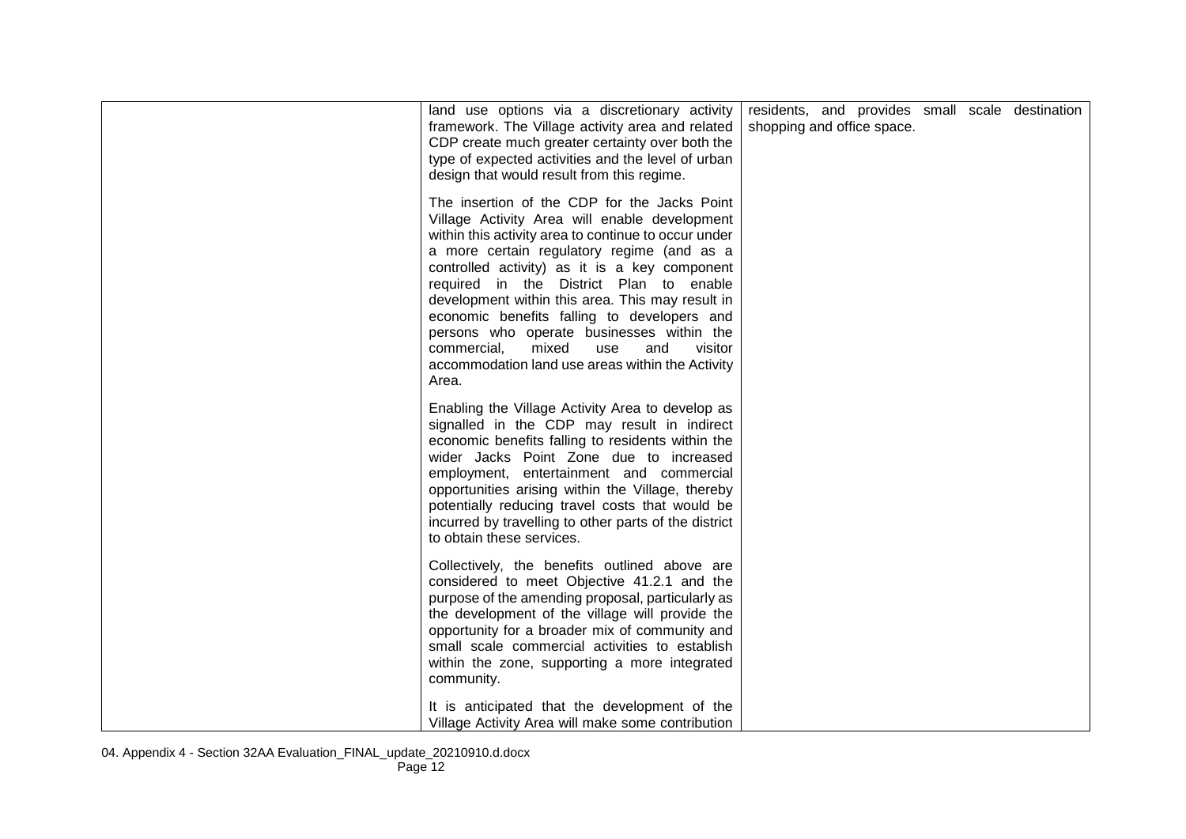| land use options via a discretionary activity<br>framework. The Village activity area and related<br>CDP create much greater certainty over both the<br>type of expected activities and the level of urban<br>design that would result from this regime.                                                                                                                                                                                                                                                                                                      | residents, and provides small scale destination<br>shopping and office space. |  |  |
|---------------------------------------------------------------------------------------------------------------------------------------------------------------------------------------------------------------------------------------------------------------------------------------------------------------------------------------------------------------------------------------------------------------------------------------------------------------------------------------------------------------------------------------------------------------|-------------------------------------------------------------------------------|--|--|
| The insertion of the CDP for the Jacks Point<br>Village Activity Area will enable development<br>within this activity area to continue to occur under<br>a more certain regulatory regime (and as a<br>controlled activity) as it is a key component<br>required in the District Plan to enable<br>development within this area. This may result in<br>economic benefits falling to developers and<br>persons who operate businesses within the<br>commercial,<br>mixed<br>visitor<br>use<br>and<br>accommodation land use areas within the Activity<br>Area. |                                                                               |  |  |
| Enabling the Village Activity Area to develop as<br>signalled in the CDP may result in indirect<br>economic benefits falling to residents within the<br>wider Jacks Point Zone due to increased<br>employment, entertainment and commercial<br>opportunities arising within the Village, thereby<br>potentially reducing travel costs that would be<br>incurred by travelling to other parts of the district<br>to obtain these services.                                                                                                                     |                                                                               |  |  |
| Collectively, the benefits outlined above are<br>considered to meet Objective 41.2.1 and the<br>purpose of the amending proposal, particularly as<br>the development of the village will provide the<br>opportunity for a broader mix of community and<br>small scale commercial activities to establish<br>within the zone, supporting a more integrated<br>community.                                                                                                                                                                                       |                                                                               |  |  |
| It is anticipated that the development of the<br>Village Activity Area will make some contribution                                                                                                                                                                                                                                                                                                                                                                                                                                                            |                                                                               |  |  |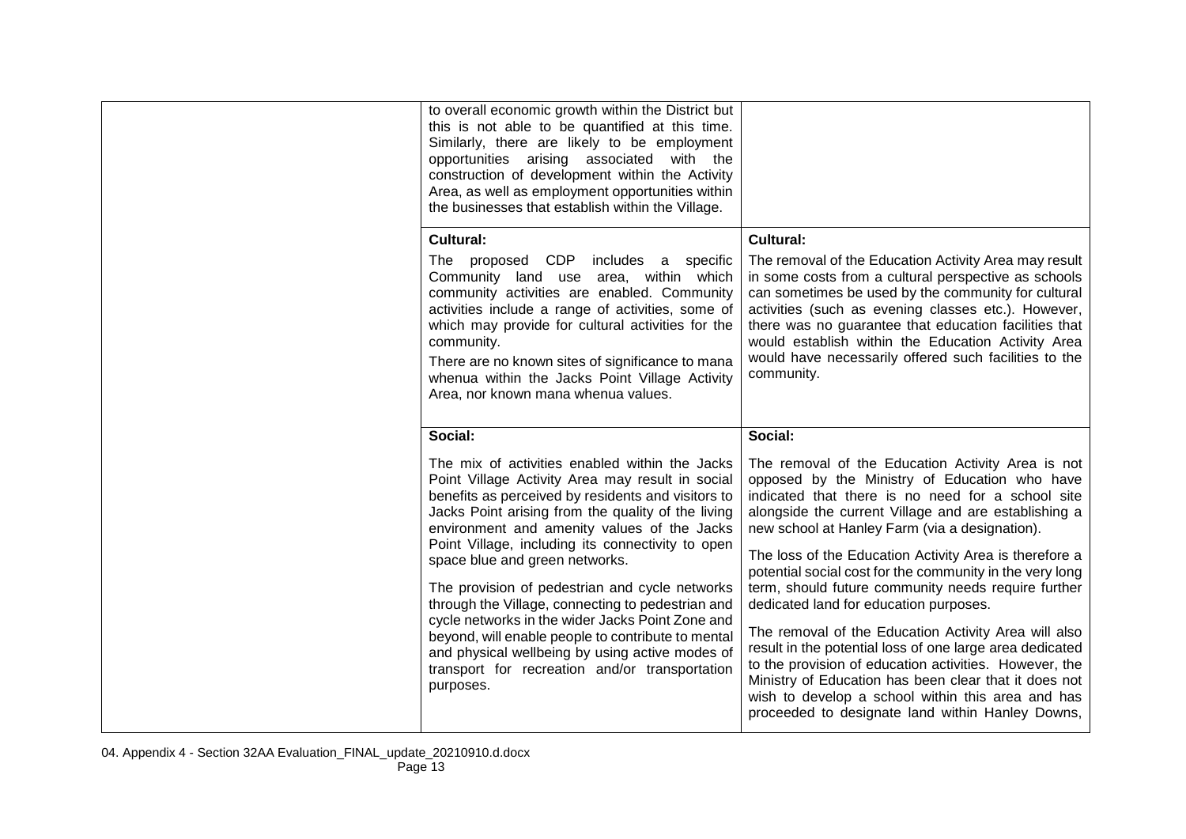| to overall economic growth within the District but<br>this is not able to be quantified at this time.<br>Similarly, there are likely to be employment<br>opportunities arising associated with the<br>construction of development within the Activity<br>Area, as well as employment opportunities within<br>the businesses that establish within the Village.                                                                                                                                                                                                                                                                                                                          |                                                                                                                                                                                                                                                                                                                                                                                                                                                                                                                                                                                                                                                                                                                                                                                                                                          |
|-----------------------------------------------------------------------------------------------------------------------------------------------------------------------------------------------------------------------------------------------------------------------------------------------------------------------------------------------------------------------------------------------------------------------------------------------------------------------------------------------------------------------------------------------------------------------------------------------------------------------------------------------------------------------------------------|------------------------------------------------------------------------------------------------------------------------------------------------------------------------------------------------------------------------------------------------------------------------------------------------------------------------------------------------------------------------------------------------------------------------------------------------------------------------------------------------------------------------------------------------------------------------------------------------------------------------------------------------------------------------------------------------------------------------------------------------------------------------------------------------------------------------------------------|
| Cultural:<br>The proposed CDP<br>includes a specific<br>Community land use area, within which<br>community activities are enabled. Community<br>activities include a range of activities, some of<br>which may provide for cultural activities for the<br>community.<br>There are no known sites of significance to mana<br>whenua within the Jacks Point Village Activity<br>Area, nor known mana whenua values.                                                                                                                                                                                                                                                                       | Cultural:<br>The removal of the Education Activity Area may result<br>in some costs from a cultural perspective as schools<br>can sometimes be used by the community for cultural<br>activities (such as evening classes etc.). However,<br>there was no guarantee that education facilities that<br>would establish within the Education Activity Area<br>would have necessarily offered such facilities to the<br>community.                                                                                                                                                                                                                                                                                                                                                                                                           |
| Social:                                                                                                                                                                                                                                                                                                                                                                                                                                                                                                                                                                                                                                                                                 | Social:                                                                                                                                                                                                                                                                                                                                                                                                                                                                                                                                                                                                                                                                                                                                                                                                                                  |
| The mix of activities enabled within the Jacks<br>Point Village Activity Area may result in social<br>benefits as perceived by residents and visitors to<br>Jacks Point arising from the quality of the living<br>environment and amenity values of the Jacks<br>Point Village, including its connectivity to open<br>space blue and green networks.<br>The provision of pedestrian and cycle networks<br>through the Village, connecting to pedestrian and<br>cycle networks in the wider Jacks Point Zone and<br>beyond, will enable people to contribute to mental<br>and physical wellbeing by using active modes of<br>transport for recreation and/or transportation<br>purposes. | The removal of the Education Activity Area is not<br>opposed by the Ministry of Education who have<br>indicated that there is no need for a school site<br>alongside the current Village and are establishing a<br>new school at Hanley Farm (via a designation).<br>The loss of the Education Activity Area is therefore a<br>potential social cost for the community in the very long<br>term, should future community needs require further<br>dedicated land for education purposes.<br>The removal of the Education Activity Area will also<br>result in the potential loss of one large area dedicated<br>to the provision of education activities. However, the<br>Ministry of Education has been clear that it does not<br>wish to develop a school within this area and has<br>proceeded to designate land within Hanley Downs, |